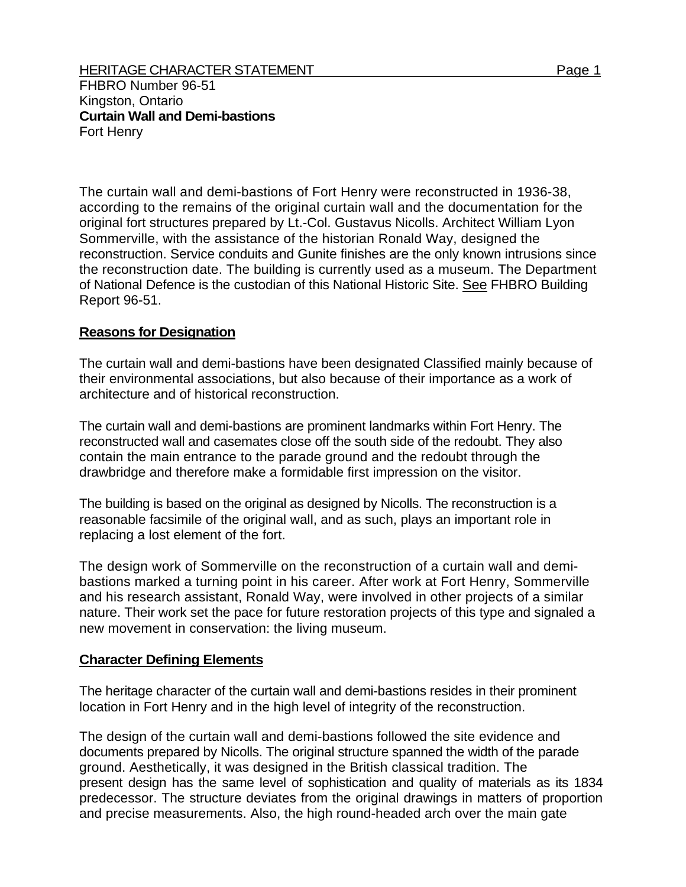FHBRO Number 96-51 Kingston, Ontario **Curtain Wall and Demi-bastions**  Fort Henry

The curtain wall and demi-bastions of Fort Henry were reconstructed in 1936-38, according to the remains of the original curtain wall and the documentation for the original fort structures prepared by Lt.-Col. Gustavus Nicolls. Architect William Lyon Sommerville, with the assistance of the historian Ronald Way, designed the reconstruction. Service conduits and Gunite finishes are the only known intrusions since the reconstruction date. The building is currently used as a museum. The Department of National Defence is the custodian of this National Historic Site. See FHBRO Building Report 96-51.

## **Reasons for Designation**

The curtain wall and demi-bastions have been designated Classified mainly because of their environmental associations, but also because of their importance as a work of architecture and of historical reconstruction.

The curtain wall and demi-bastions are prominent landmarks within Fort Henry. The reconstructed wall and casemates close off the south side of the redoubt. They also contain the main entrance to the parade ground and the redoubt through the drawbridge and therefore make a formidable first impression on the visitor.

The building is based on the original as designed by Nicolls. The reconstruction is a reasonable facsimile of the original wall, and as such, plays an important role in replacing a lost element of the fort.

The design work of Sommerville on the reconstruction of a curtain wall and demibastions marked a turning point in his career. After work at Fort Henry, Sommerville and his research assistant, Ronald Way, were involved in other projects of a similar nature. Their work set the pace for future restoration projects of this type and signaled a new movement in conservation: the living museum.

## **Character Defining Elements**

The heritage character of the curtain wall and demi-bastions resides in their prominent location in Fort Henry and in the high level of integrity of the reconstruction.

The design of the curtain wall and demi-bastions followed the site evidence and documents prepared by Nicolls. The original structure spanned the width of the parade ground. Aesthetically, it was designed in the British classical tradition. The present design has the same level of sophistication and quality of materials as its 1834 predecessor. The structure deviates from the original drawings in matters of proportion and precise measurements. Also, the high round-headed arch over the main gate